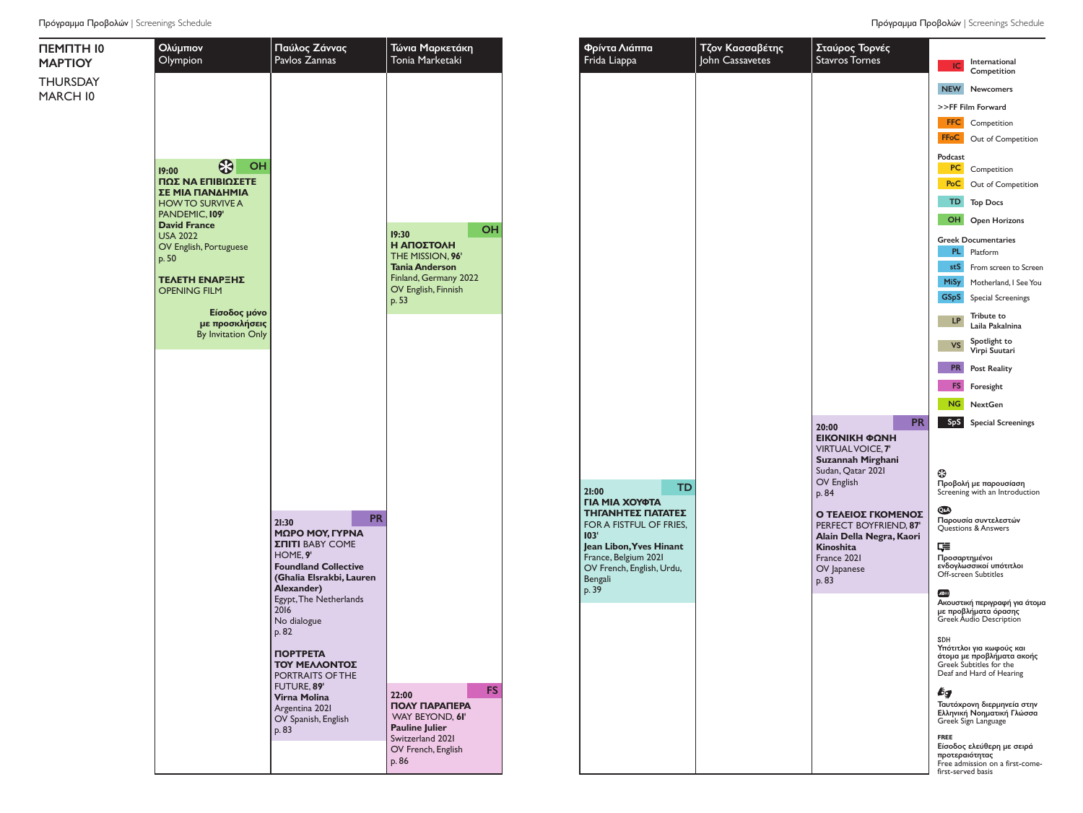ΠΕΜΠΤΗ 10 MAΡTIOY THURSDAY MARCH 10



**Pauline Julier** Switzerland 2021 OV French, English

p. 86

OV Spanish, English

p. 83

| άππα<br>эa                                 | Τζον Κασσαβέτης<br>John Cassavetes | Σταύρος Τορνές<br><b>Stavros Tornes</b>                                                                                   | IC                                                  | International                                                                                                |
|--------------------------------------------|------------------------------------|---------------------------------------------------------------------------------------------------------------------------|-----------------------------------------------------|--------------------------------------------------------------------------------------------------------------|
|                                            |                                    |                                                                                                                           |                                                     | Competition                                                                                                  |
|                                            |                                    |                                                                                                                           | <b>NEW</b>                                          | Newcomers                                                                                                    |
|                                            |                                    |                                                                                                                           |                                                     | >>FF Film Forward                                                                                            |
|                                            |                                    |                                                                                                                           | <b>FFC</b>                                          | Competition                                                                                                  |
|                                            |                                    |                                                                                                                           | <b>FFoC</b>                                         | Out of Competition                                                                                           |
|                                            |                                    |                                                                                                                           | Podcast<br>PC                                       | Competition                                                                                                  |
|                                            |                                    |                                                                                                                           | PoC                                                 | Out of Competition                                                                                           |
|                                            |                                    |                                                                                                                           | TD.                                                 | <b>Top Docs</b>                                                                                              |
|                                            |                                    |                                                                                                                           | OH                                                  | <b>Open Horizons</b>                                                                                         |
|                                            |                                    |                                                                                                                           | PL.                                                 | <b>Greek Documentaries</b><br>Platform                                                                       |
|                                            |                                    |                                                                                                                           | stS                                                 | From screen to Screen                                                                                        |
|                                            |                                    |                                                                                                                           | <b>MiSy</b><br><b>GSpS</b>                          | Motherland, I See You<br><b>Special Screenings</b>                                                           |
|                                            |                                    |                                                                                                                           | <b>LP</b>                                           | Tribute to<br>Laila Pakalnina                                                                                |
|                                            |                                    |                                                                                                                           | VS                                                  | Spotlight to<br>Virpi Suutari                                                                                |
|                                            |                                    |                                                                                                                           | <b>PR</b>                                           | <b>Post Reality</b>                                                                                          |
|                                            |                                    |                                                                                                                           | FS.                                                 | Foresight                                                                                                    |
|                                            |                                    |                                                                                                                           | NG                                                  | <b>NextGen</b>                                                                                               |
| TD                                         |                                    | PR<br>20:00<br>ΕΙΚΟΝΙΚΗ ΦΩΝΗ<br><b>VIRTUAL VOICE, 7'</b><br>Suzannah Mirghani<br>Sudan, Qatar 2021<br>OV English<br>p. 84 | SpS<br>⊕                                            | <b>Special Screenings</b><br>Προβολή με παρουσίαση<br>Screening with an Introduction                         |
| ΟΥΦΤΑ<br>ΈΣ ΠΑΤΑΤΕΣ<br>FUL OF FRIES,       |                                    | Ο ΤΕΛΕΙΟΣ ΓΚΟΜΕΝΟΣ<br>PERFECT BOYFRIEND, 87'                                                                              | Q&A)                                                | Παρουσία συντελεστών<br>Questions & Answers                                                                  |
| Yves Hinant,<br>ium 2021<br>English, Urdu, |                                    | Alain Della Negra, Kaori<br>Kinoshita<br>France 2021<br>OV Japanese<br>p. 83                                              | ⋤<br>Προσαρτημένοι                                  | ενδογλωσσικοί υπότιτλοι<br>Off-screen Subtitles                                                              |
|                                            |                                    |                                                                                                                           | ADIII                                               | Ακουστική περιγραφή για άτομα<br>με προβλήματα όρασης<br>Greek Audio Description                             |
|                                            |                                    |                                                                                                                           | SDH                                                 | Υπότιτλοι για κωφούς και<br>άτομα με προβλήματα ακοής<br>Greek Subtitles for the<br>Deaf and Hard of Hearing |
|                                            |                                    |                                                                                                                           | bg                                                  | Ταυτόχρονη διερμηνεία στην<br>Ελληνική Νοηματική Γλώσσα<br>Greek Sign Language                               |
|                                            |                                    |                                                                                                                           | <b>FREE</b><br>προτεραιότητας<br>first-served basis | Είσοδος ελεύθερη με σειρά<br>Free admission on a first-come-                                                 |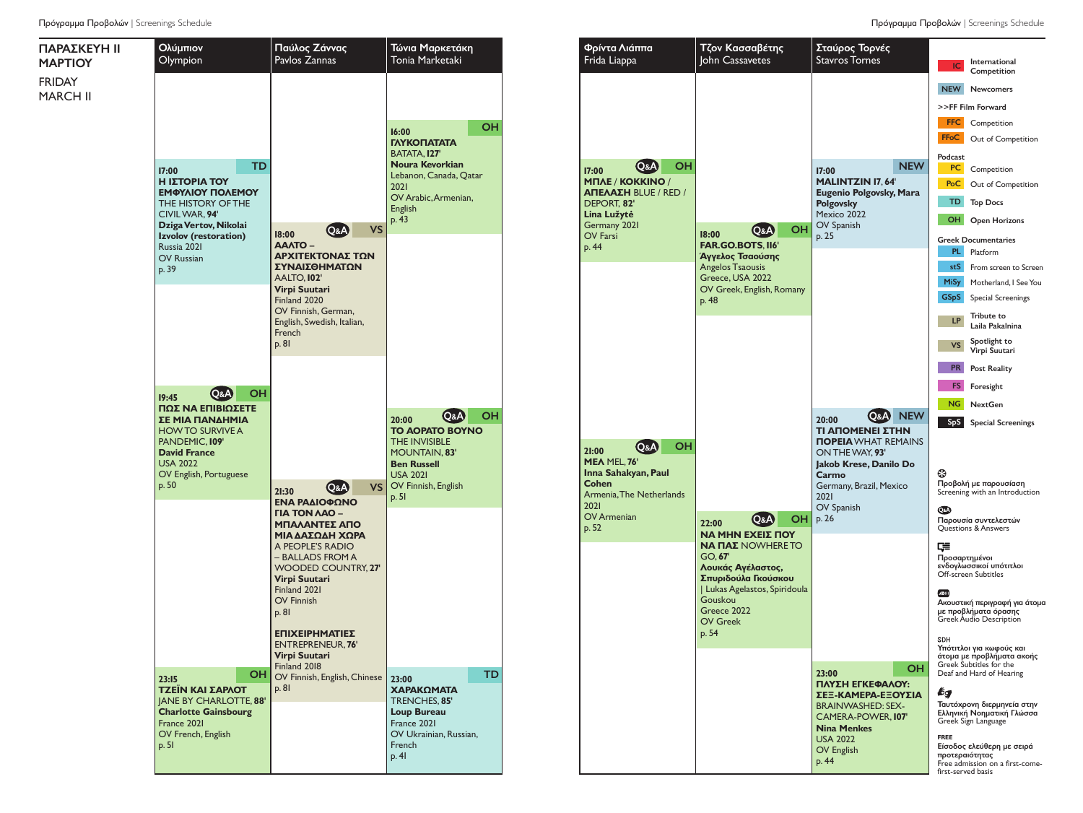Ολύμπιον Olympion Παύλος Ζάννας Pavlos Zannas Τώνια Μαρκετάκη Tonia Marketaki ΠΑΡΑΣΚΕΥΗ 11 ΜΑΡΤΙΟΥ FRIDAY MARCH 11 **17:00**  TD **Η ΙΣΤΟΡΊΑ ΤΟΥ ΕΜΦΥΛΊΟΥ ΠΟΛΈΜΟΥ** THE HISTORY OF THE CIVILWAR, **94' DzigaVertov, Nikolai Izvolov (restoration)**  $R_{\text{Hesia}}$  2021 OV Russian  $p.39$ **16:00**  OH **ΓΛΥΚΟΠΑΤΆΤΑ** BATATA, **127' Noura Kevorkian** Lebanon, Canada, Qatar 2021 OV Arabic,Armenian, **English** p. 43 **18:00**  Q&A VS **ΆΑΛΤΟ – ΑΡΧΙΤΈΚΤΟΝΑΣ ΤΩΝ ΣΥΝΑΙΣΘΗΜΆΤΩΝ** AALTO, **102' Virpi Suutari** Finland 2020 OV Finnish, German, English, Swedish, Italian, **French** p. 81 **19:45**  Q&A OH **ΠΏΣ ΝΑ ΕΠΙΒΙΏΣΕΤΕ ΣΕ ΜΙΑ ΠΑΝΔΗΜΊΑ** HOWTO SURVIVE A PANDEMIC, **109' David France** USA 2022 OV English, Portuguese  $p.50$ **20:00**  Q&A OH **ΤΟ ΑΌΡΑΤΟ ΒΟΥΝΌ**  THE INVISIBLE MOUNTAIN, **83' Ben Russell** USA 2021 VS OV Finnish, English p. 51 **23:15** OH **ΤΖΈΙΝ ΚΑΙ ΣΑΡΛΌΤ** JANE BY CHARLOTTE, **88' Charlotte Gainsbourg** France 2021 OV French, English p. 51  $23.00$  TD **ΧΑΡΑΚΏΜΑΤΑ** TRENCHES, **85' Loup Bureau** France 2021 OV Ukrainian, Russian, French  $p. 41$  $21:30$  Q&A **ΕΝΑ ΡΑΔΙΟΦΩΝΟ ΓΙΑ ΤΟΝ ΛΑΟ – ΜΠΑΛΑΝΤΕΣ ΑΠΟ ΜΙΑ ΔΑΣΩΔΗ ΧΩΡΑ** A PEOPLE'S RADIO – BALLADS FROM A WOODED COUNTRY, **27' Virpi Suutari** Finland 2021 OV Finnish p. 81 **ΕΠΙΧΕΙΡΗΜΑΤΙΕΣ** ENTREPRENEUR, **76' Virpi Suutari** Finland 2018 OV Finnish, English, Chinese p. 81

Φρίντα Λιάππα Τζον Κασσαβέτης Σταύρος Τορνές Frida Liappa John Cassavetes Stavros Tornes **IC** International<br>Competition NEW Newcomers >>FF Film Forward FFC Competition **FFoC** Out of Competition Podcast **17:00**  Q&A OH **17:00**  NEW **PC** Competition **ΜΠΛΕ / ΚΌΚΚΙΝΟ / MALINTZIN 17**, **64' PoC** Out of Competition **ΑΠΈΛΑΣΗ** BLUE / RED / **Eugenio Polgovsky, Mara Polgovsky** TD Top Docs DEPORT, **82' Lina Lužyte.** Mexico 2022 **OH** Open Horizons Germany 2021 OV Spanish **18:00**  Q&A OH OV Farsi p. 25 Greek Documentaries **FAR.GO.BOTS**, **116'** p. 44 PL Platform **Άγγελος Τσαούσης** Angelos Tsaousis stS From screen to Screen Greece, USA 2022 MiSy Motherland, I SeeYou OV Greek, English, Romany GSpS Special Screenings p. 48 **LP** Tribute to<br>Laila Pakalnina VS Spotlight to Virpi Suutari **Post Reality** FS Foresight NG NextGen **20:00**  Q&A NEW SpS Special Screenings **ΤΙ ΑΠΟΜΈΝΕΙ ΣΤΗΝ ΠΟΡΕΊΑ**WHAT REMAINS **21:00**  Q&A OH ONTHEWAY, **93' ΜΕΛ** MEL, **76' Jakob Krese, Danilo Do Inna Sahakyan, Paul** Ø **Carmo Cohen** Προβολή με παρουσίαση Germany, Brazil, Mexico **Screening with an Introduction**<br>Screening with an Introduction Armenia,The Netherlands 2021 2021 OV Spanish  $\odot$ OV Armenian<br>p. 52 p. 26 p. <sup>52</sup> **22:00**  Q&A OH **ΝΑ ΜΗΝ ΈΧΕΙΣ ΠΟΎ** Παρουσία συντελεστών Questions & Answers **ΝΑ ΠΑΣ** NOWHERE TO  $E =$ GO, **67'** Προσαρτημένοι ενδογλωσσικοί υπότιτλοι **Λουκάς Αγέλαστος,** Off-screen Subtitles **Σπυριδούλα Γκούσκου** | Lukas Agelastos, Spiridoula  $\sqrt{2}$ Gouskou Ακουστική περιγραφή για άτομα Greece 2022 με προβλήματα όρασης Greek Audio Description OV Greek p. 54 Υπότιτλοι για κωφούς και άτομα με προβλήματα ακοής Greek Subtitles for the **23:00**  OH Deaf and Hard of Hearing **ΠΛΎΣΗ ΕΓΚΕΦΆΛΟΥ: ΣΕΞ-ΚΆΜΕΡΑ-ΕΞΟΥΣΊΑ** bд Ταυτόχρονη διερμηνεία στην BRAINWASHED: SEX-Ελληνική Νοηματική Γλώσσα CAMERA-POWER, **107'** Greek Sign Language **Nina Menkes FREE** USA 2022 Είσοδος ελεύθερη με σειρά OV English προτεραιότητας p. 44 Free admission on a first-comefirst-served basis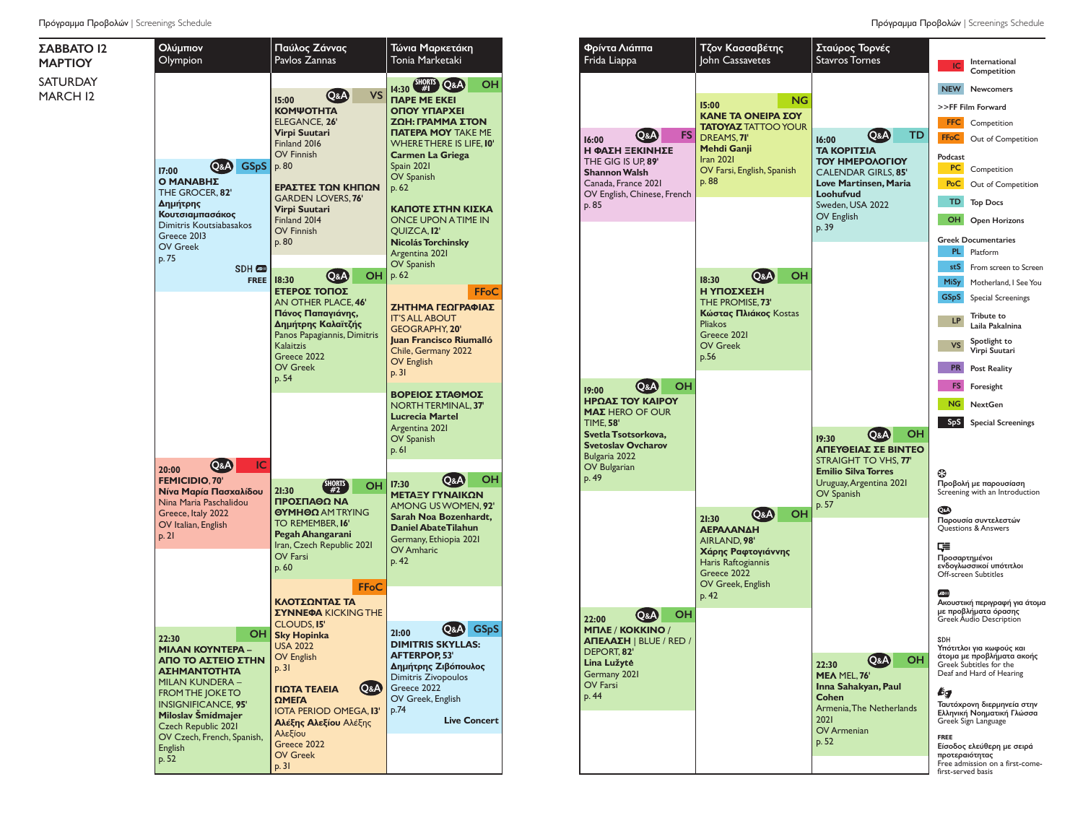

Πρόγραμμα Προβολών | Screenings Schedule **Πρόγραμμα Προβολών | Screenings Schedule** Πρόγραμμα Προβολών | Screenings Schedule

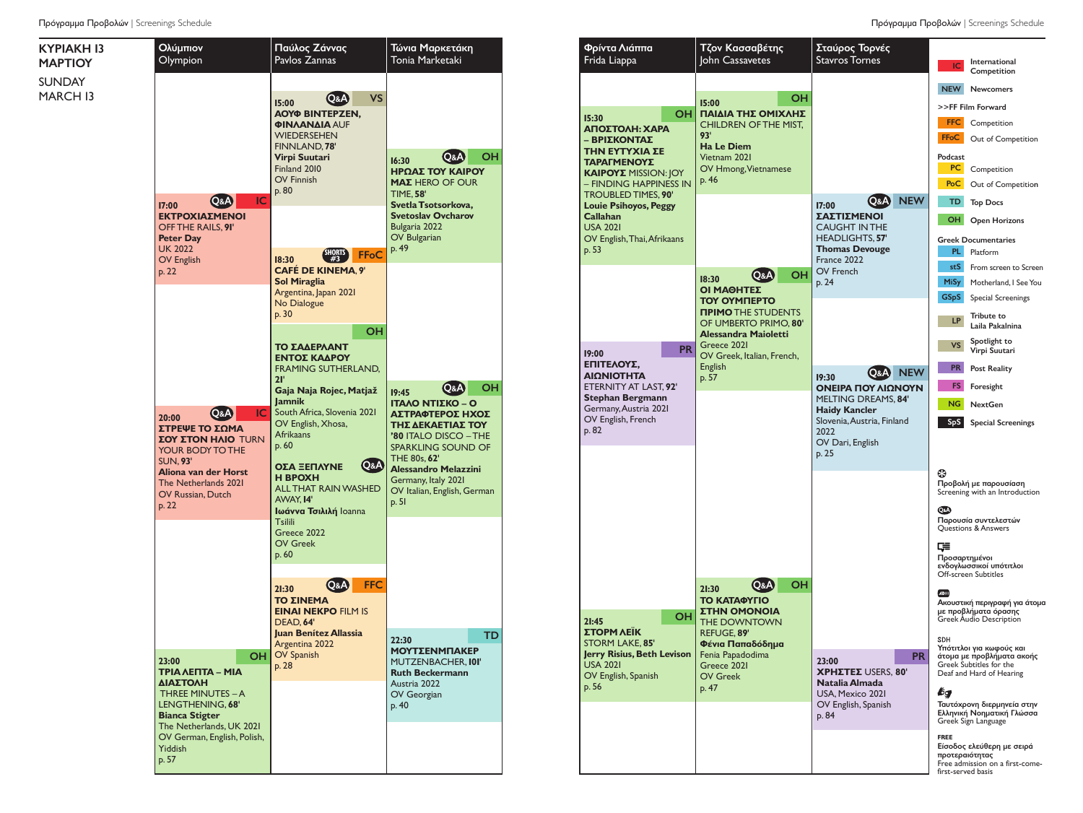

| Φρίντα Λιάππα<br>Frida Liappa                                                                                                                                                                                                                                                              | Τζον Κασσαβέτης<br>John Cassavetes                                                                                                                                                                                  | Σταύρος Τορνές<br><b>Stavros Tornes</b>                                                                                                                                                         | International<br>IC                                                                                                                                                                                                                                                                                                                                                                                                                                                                                                                                                                                                                           |
|--------------------------------------------------------------------------------------------------------------------------------------------------------------------------------------------------------------------------------------------------------------------------------------------|---------------------------------------------------------------------------------------------------------------------------------------------------------------------------------------------------------------------|-------------------------------------------------------------------------------------------------------------------------------------------------------------------------------------------------|-----------------------------------------------------------------------------------------------------------------------------------------------------------------------------------------------------------------------------------------------------------------------------------------------------------------------------------------------------------------------------------------------------------------------------------------------------------------------------------------------------------------------------------------------------------------------------------------------------------------------------------------------|
| <b>OH</b><br>15:30<br>ΑΠΟΣΤΟΛΗ: ΧΑΡΑ<br>– ΒΡΙΣΚΟΝΤΑΣ<br>ΤΗΝ ΕΥΤΥΧΙΑ ΣΕ<br>ΤΑΡΑΓΜΕΝΟΥΣ<br><b>KAIPOYE</b> MISSION: JOY<br>– FINDING HAPPINESS IN<br><b>TROUBLED TIMES, 90'</b><br><b>Louie Psihoyos, Peggy</b><br><b>Callahan</b><br><b>USA 2021</b><br>OV English, Thai, Afrikaans<br>p. 53 | ΟН<br>15:00<br>ΠΑΙΔΙΑ ΤΗΣ ΟΜΙΧΛΗΣ<br><b>CHILDREN OF THE MIST.</b><br>93'<br><b>Ha Le Diem</b><br>Vietnam 2021<br>OV Hmong, Vietnamese<br>p. 46                                                                      | <b>NEW</b><br>Q&A)<br>17:00<br><b>ΣΑΣΤΙΣΜΕΝΟΙ</b><br><b>CAUGHT IN THE</b><br>HEADLIGHTS, 57'<br><b>Thomas Devouge</b><br>France 2022                                                            | Competition<br><b>NEW</b><br><b>Newcomers</b><br>>>FF Film Forward<br><b>FFC</b><br>Competition<br><b>FFoC</b><br>Out of Competition<br>Podcast<br>PC<br>Competition<br>PoC<br>Out of Competition<br>TD<br><b>Top Docs</b><br>OH<br><b>Open Horizons</b><br><b>Greek Documentaries</b><br>PL.<br>Platform                                                                                                                                                                                                                                                                                                                                     |
| <b>PR</b><br>19:00<br>ΕΠΙΤΕΛΟΥΣ.<br>ΑΙΩΝΙΟΤΗΤΑ<br>ETERNITY AT LAST, 92'<br>Stephan Bergmann<br>Germany, Austria 2021<br>OV English, French<br>p. 82                                                                                                                                        | OH<br>$Q$ & $A$<br>18:30<br>ΟΙ ΜΑΘΗΤΕΣ<br><b>TOY OYMNEPTO</b><br><b><i>NPIMO THE STUDENTS</i></b><br>OF UMBERTO PRIMO, 80'<br>Alessandra Maioletti<br>Greece 2021<br>OV Greek, Italian, French,<br>English<br>p. 57 | <b>OV French</b><br>p. 24<br><b>NEW</b><br>Q&A<br>19:30<br>ΟΝΕΙΡΑ ΠΟΥ ΛΙΩΝΟΥΝ<br>MELTING DREAMS, 84'<br><b>Haidy Kancler</b><br>Slovenia, Austria, Finland<br>2022<br>OV Dari, English<br>p. 25 | stS<br>From screen to Screen<br><b>MiSy</b><br>Motherland, I See You<br><b>GSpS</b><br><b>Special Screenings</b><br><b>Tribute to</b><br><b>LP</b><br>Laila Pakalnina<br>Spotlight to<br><b>VS</b><br>Virpi Suutari<br><b>PR</b><br><b>Post Reality</b><br>FS<br>Foresight<br><b>NG</b><br><b>NextGen</b><br><b>SpS</b><br><b>Special Screenings</b>                                                                                                                                                                                                                                                                                          |
| <b>OH</b><br>21:45<br>ΣΤΟΡΜ ΛΕΪΚ<br>STORM LAKE, 85'<br>Jerry Risius, Beth Levison<br><b>USA 2021</b><br>OV English, Spanish<br>p. 56                                                                                                                                                       | OН<br>Q&A)<br>21:30<br>ΤΟ ΚΑΤΑΦΥΓΙΟ<br><b><i>ETHN OMONOIA</i></b><br>THE DOWNTOWN<br>REFUGE, 89'<br>Φένια Παπαδόδημα<br>Fenia Papadodima<br>Greece 2021<br><b>OV Greek</b><br>p. 47                                 | <b>PR</b><br>23:00<br><b>XPHETEE USERS, 80'</b><br>Natalia Almada<br>USA, Mexico 2021<br>OV English, Spanish<br>p. 84                                                                           | ⊕<br>Προβολή με παρουσίαση<br>Screening with an Introduction<br>Q&A)<br>Παρουσία συντελεστών<br>Questions & Answers<br>⋤<br>Προσαρτημένοι<br>ενδογλωσσικοί υπότιτλοι<br>Off-screen Subtitles<br>ADIII<br>Ακουστική περιγραφή για άτομα<br>με προβλήματα όρασης<br><b>Greek Audio Description</b><br><b>SDH</b><br>Υπότιτλοι για κωφούς και<br>άτομα με προβλήματα ακοής<br>Greek Subtitles for the<br>Deaf and Hard of Hearing<br>₽g<br>Ταυτόχρονη διερμηνεία στην<br>Ελληνική Νοηματική Γλώσσα<br>Greek Sign Language<br><b>FREE</b><br>Είσοδος ελεύθερη με σειρά<br>προτεραιότητας<br>Free admission on a first-come-<br>first-served basis |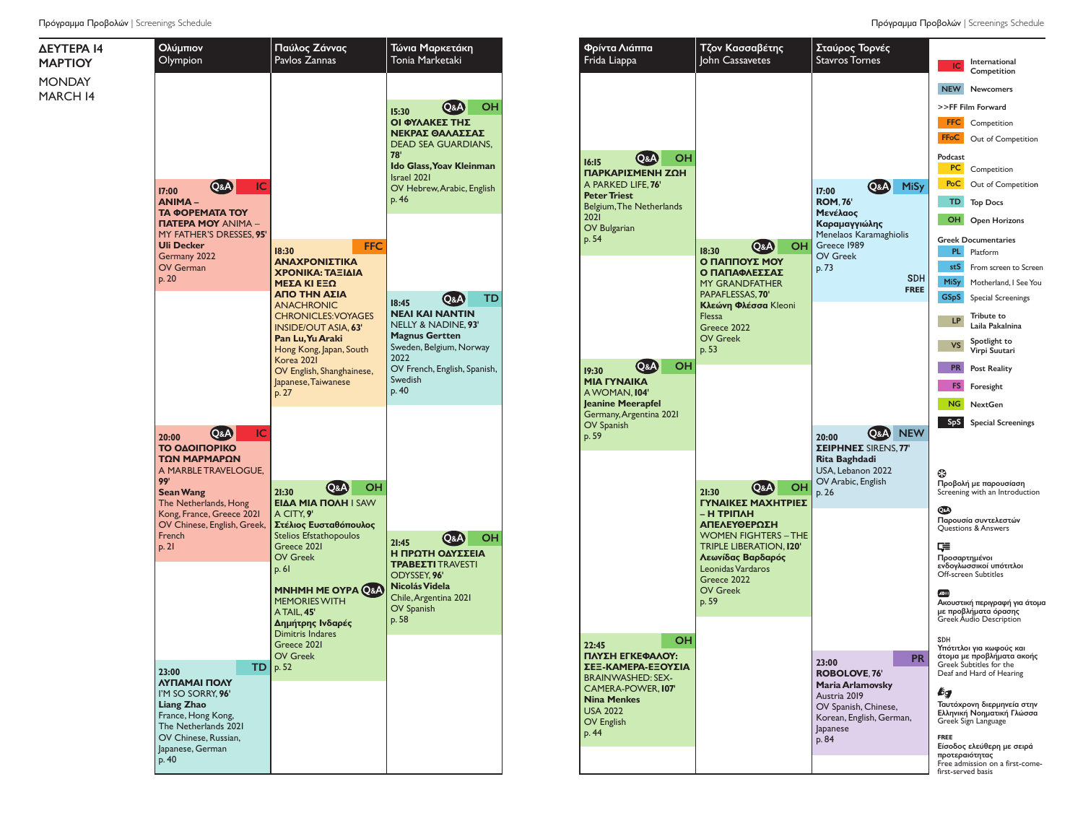

John Cassavetes Stavros Tornes **IC** International<br>Competition NEW Newcomers >>FF Film Forward FFC Competition **FFoC** Out of Competition **16:15**  Q&A OH Podcast **PC** Competition **ΠΑΡΚΑΡΙΣΜΈΝΗ ΖΩΉ**  A PARKED LIFE, **76' 17:00**  Q&A MiSy **PoC** Out of Competition **ROM**, **76'** TD Top Docs Belgium,The Netherlands **Μενέλαος** OH Open Horizons **Καραμαγγιώλης** Menelaos Karamaghiolis Greek Documentaries OH Greece 1989 **18:30** Q&A PL Platform OV Greek **Ο ΠΑΠΠΟΎΣ ΜΟΥ**  p. 73 stS From screen to Screen **Ο ΠΑΠΑΦΛΈΣΣΑΣ SDH** MiSy Motherland, I SeeYou MY GRANDFATHER **FREE** PAPAFLESSAS, **70'** GSpS Special Screenings **Κλεώνη Φλέσσα** Kleoni Flessa **LP** Tribute to<br>Laila Pakalnina Greece 2022 OV Greek VS Spotlight to p. 53 Virpi Suutari **19:30**  Q&A OH **Post Reality ΜΙΑ ΓΥΝΑΊΚΑ** FS Foresight AWOMAN, **104' Jeanine Meerapfel** NG NextGen Germany,Argentina 2021 SpS Special Screenings **20:00**  Q&A NEW **ΣΕΙΡΉΝΕΣ** SIRENS, **77' Rita Baghdadi** USA, Lebanon 2022 Ø OV Arabic, English Προβολή με παρουσίαση **21:30**  Q&A OH Screening with an Introduction p. 26 **ΓΥΝΑΊΚΕΣ ΜΑΧΉΤΡΙΕΣ**  $\odot$ **– Η ΤΡΙΠΛΉ**  Παρουσία συντελεστών **ΑΠΕΛΕΥΘΈΡΩΣΗ** Questions & Answers WOMEN FIGHTERS – THE TRIPLE LIBERATION, **120'**  $E =$ **Λεωνίδας Βαρδαρός** Προσαρτημένοι ενδογλωσσικοί υπότιτλοι Leonidas Vardaros Off-screen Subtitles Greece 2022 OV Greek  $\sqrt{2}$ p. 59 Ακουστική περιγραφή για άτομα με προβλήματα όρασης Greek Audio Description **22:45**  OH SDH Υπότιτλοι για κωφούς και άτομα με προβλήματα ακοής Greek Subtitles for the **ΠΛΎΣΗ ΕΓΚΕΦΆΛΟΥ: 23:00**  PR **ΣΕΞ-ΚΆΜΕΡΑ-ΕΞΟΥΣΊΑ ROBOLOVE**, **76'** Deaf and Hard of Hearing BRAINWASHED: SEX-**Maria Arlamovsky** CAMERA-POWER, **107'** bт Austria 2019 Ταυτόχρονη διερμηνεία στην OV Spanish, Chinese, Ελληνική Νοηματική Γλώσσα Korean, English, German, Greek Sign Language Japanese **FREE** p. 84

Σταύρος Τορνές

Φρίντα Λιάππα Frida Liappa

**PeterTriest**

OV Spanish p. 59

**Nina Menkes** USA 2022 OV English p. 44

2021 OV Bulgarian p. 54

Τζον Κασσαβέτης

Είσοδος ελεύθερη με σειρά προτεραιότητας Free admission on a first-comefirst-served basis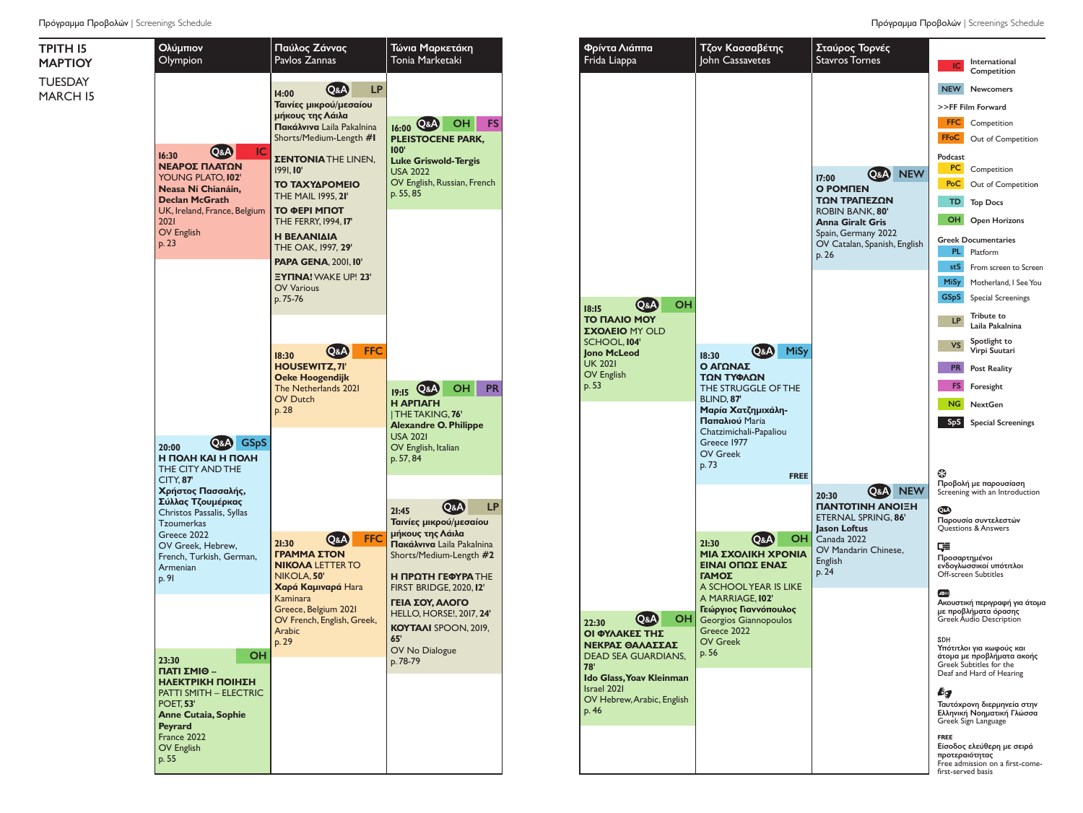

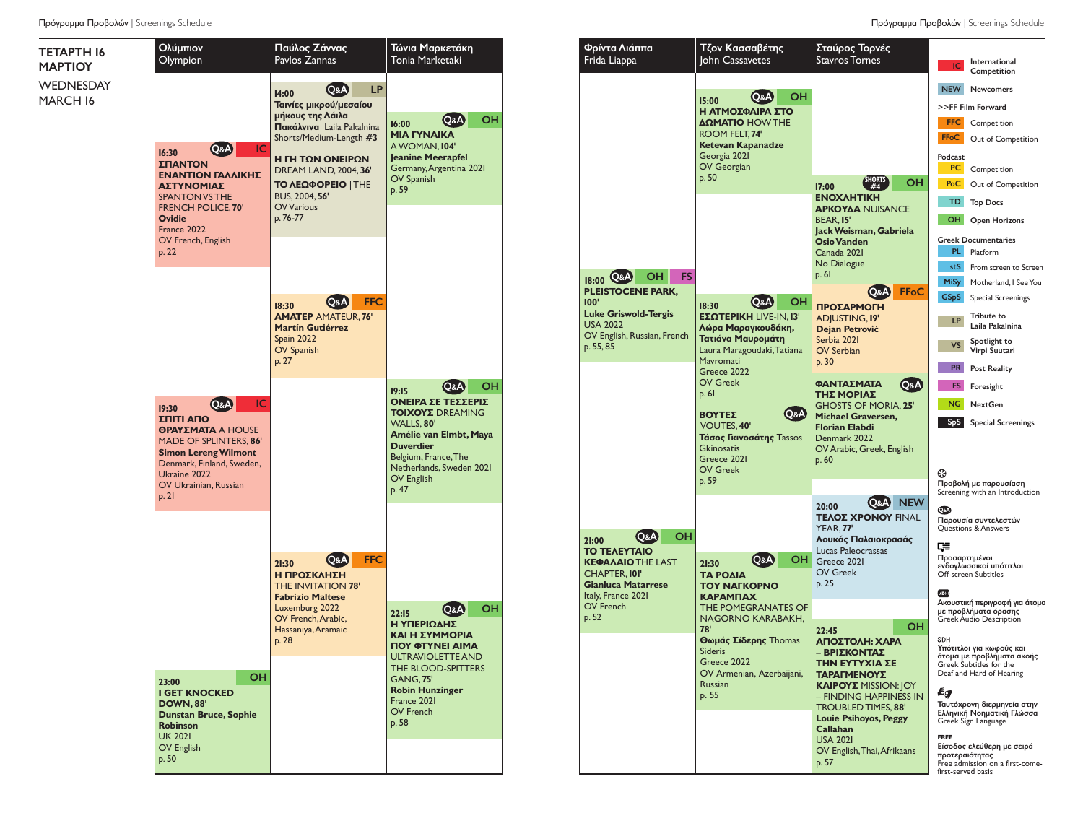

| Φρίντα Λιάππα<br>Frida Liappa                     | Τζον Κασσαβέτης<br>John Cassavetes                                                       | Σταύρος Τορνές<br><b>Stavros Tornes</b>                  | IC                 | International                                           |
|---------------------------------------------------|------------------------------------------------------------------------------------------|----------------------------------------------------------|--------------------|---------------------------------------------------------|
|                                                   | OН                                                                                       |                                                          | <b>NEW</b>         | Competition<br><b>Newcomers</b>                         |
|                                                   | (Q&A<br>15:00<br>Η ΑΤΜΟΣΦΑΙΡΑ ΣΤΟ                                                        |                                                          |                    | >>FF Film Forward                                       |
|                                                   | ΔΩΜΑΤΙΟ HOW THE                                                                          |                                                          | <b>FFC</b>         | Competition                                             |
|                                                   | ROOM FELT. 74'                                                                           |                                                          | <b>FFoC</b>        | Out of Competition                                      |
|                                                   | Ketevan Kapanadze<br>Georgia 2021                                                        |                                                          | Podcast            |                                                         |
|                                                   | OV Georgian                                                                              |                                                          | PC.                | Competition                                             |
|                                                   | p. 50                                                                                    | <b>SHORTS</b><br>OН<br>#4<br>17:00                       | PoC                | Out of Competition                                      |
|                                                   |                                                                                          | <b>ENOXAHTIKH</b><br><b>APKOYAA NUISANCE</b>             | TD                 | <b>Top Docs</b>                                         |
|                                                   |                                                                                          | <b>BEAR. 15'</b><br>Jack Weisman, Gabriela               | <b>OH</b>          | <b>Open Horizons</b>                                    |
|                                                   |                                                                                          | <b>Osio Vanden</b>                                       |                    | <b>Greek Documentaries</b>                              |
|                                                   |                                                                                          | Canada 2021                                              | PL                 | Platform                                                |
| FS<br>он                                          |                                                                                          | No Dialogue<br>p. 61                                     | stS                | From screen to Screen                                   |
| 18:00 Q&A<br><b>PLEISTOCENE PARK,</b>             |                                                                                          | FFoC                                                     | <b>MiSy</b>        | Motherland, I See You                                   |
| 100 <sub>h</sub>                                  | OН<br>Q&A<br>18:30                                                                       | O&A)<br>ΠΡΟΣΑΡΜΟΓΗ                                       | <b>GSpS</b>        | <b>Special Screenings</b>                               |
| <b>Luke Griswold-Tergis</b><br><b>USA 2022</b>    | ΕΣΩΤΕΡΙΚΗ LIVE-IN, Ι3'<br>Λώρα Μαραγκουδάκη,                                             | <b>ADJUSTING, 19'</b><br>Dejan Petrović                  | LP                 | Tribute to<br>Laila Pakalnina                           |
| OV English, Russian, French                       | Τατιάνα Μαυρομάτη                                                                        | Serbia 2021                                              |                    | Spotlight to                                            |
| p. 55, 85                                         | Laura Maragoudaki, Tatiana<br>Mavromati                                                  | <b>OV Serbian</b>                                        | <b>VS</b>          | Virpi Suutari                                           |
|                                                   | Greece 2022                                                                              | p. 30                                                    | <b>PR</b>          | <b>Post Reality</b>                                     |
|                                                   | <b>OV Greek</b><br>p.61                                                                  | ΦΑΝΤΑΣΜΑΤΑ<br>Q&A<br>ΤΗΣ ΜΟΡΙΑΣ                          | FS                 | Foresight                                               |
|                                                   | <b>Q&amp;A</b><br>ΒΟΥΤΕΣ                                                                 | <b>GHOSTS OF MORIA, 25'</b><br><b>Michael Graversen,</b> | <b>NG</b>          | <b>NextGen</b>                                          |
|                                                   | <b>VOUTES, 40'</b><br><b>Τάσος Γκινοσάτης</b> Tassos<br><b>Gkinosatis</b><br>Greece 2021 | <b>Florian Elabdi</b>                                    | S <sub>p</sub> S   | <b>Special Screenings</b>                               |
|                                                   |                                                                                          | Denmark 2022                                             |                    |                                                         |
|                                                   |                                                                                          | OV Arabic, Greek, English<br>p. 60                       |                    |                                                         |
|                                                   | <b>OV Greek</b><br>p. 59                                                                 |                                                          | 69                 |                                                         |
|                                                   |                                                                                          |                                                          |                    | Προβολή με παρουσίαση<br>Screening with an Introduction |
|                                                   |                                                                                          | <b>NEW</b><br>Q&A)<br>20:00<br><b>TEAOE XPONOY FINAL</b> | QaA                |                                                         |
| OН<br>Q&A)                                        |                                                                                          | YEAR, 77'                                                |                    | Παρουσία συντελεστών<br>Questions & Answers             |
| 21:00<br>ΤΟ ΤΕΛΕΥΤΑΙΟ                             |                                                                                          | Λουκάς Παλαιοκρασάς<br>Lucas Paleocrassas                | 두                  |                                                         |
| <b>KEΦAΛAIO THE LAST</b>                          | <b>OH</b><br>Q&A)<br>21:30                                                               | Greece 2021                                              | Προσαρτημένοι      | ενδογλωσσικοί υπότιτλοι                                 |
| <b>CHAPTER, IOI'</b><br><b>Gianluca Matarrese</b> | ΤΑ ΡΟΔΙΑ                                                                                 | <b>OV Greek</b><br>p. 25                                 |                    | Off-screen Subtitles                                    |
| Italy, France 2021                                | <b>TOY NAFKOPNO</b><br>ΚΑΡΑΜΠΑΧ                                                          |                                                          |                    |                                                         |
| OV French<br>p. 52                                | THE POMEGRANATES OF                                                                      |                                                          |                    | Ακουστική περιγραφή για άτομα<br>με προβλήματα όρασης   |
|                                                   | NAGORNO KARABAKH,<br>78'                                                                 | OН<br>22:45                                              |                    | <b>Greek Audio Description</b>                          |
|                                                   | Θωμάς Σίδερης Thomas                                                                     | ΑΠΟΣΤΟΛΗ: ΧΑΡΑ                                           | <b>SDH</b>         | Υπότιτλοι για κωφούς και                                |
|                                                   | <b>Sideris</b><br>Greece 2022                                                            | – ΒΡΙΣΚΟΝ ΙΑΣ<br>ΤΗΝ ΕΥΤΥΧΙΑ ΣΕ                          |                    | άτομα με προβλήματα ακοής<br>Greek Subtitles for the    |
|                                                   | OV Armenian, Azerbaijani,                                                                | ΤΑΡΑΓΜΕΝΟΥΣ                                              |                    | Deaf and Hard of Hearing                                |
|                                                   | Russian<br>p. 55                                                                         | <b>KAIPOYE MISSION: JOY</b><br>- FINDING HAPPINESS IN    | bg                 |                                                         |
|                                                   |                                                                                          | TROUBLED TIMES, 88'                                      |                    | Ταυτόχρονη διερμηνεία στην<br>Ελληνική Νοηματική Γλώσσα |
|                                                   |                                                                                          | <b>Louie Psihoyos, Peggy</b>                             |                    | Greek Sign Language                                     |
|                                                   |                                                                                          | Callahan<br><b>USA 2021</b>                              | <b>FREE</b>        |                                                         |
|                                                   |                                                                                          | OV English, Thai, Afrikaans                              | προτεραιότητας     | Είσοδος ελεύθερη με σειρά                               |
|                                                   |                                                                                          | p. 57                                                    | first-served basis | Free admission on a first-come-                         |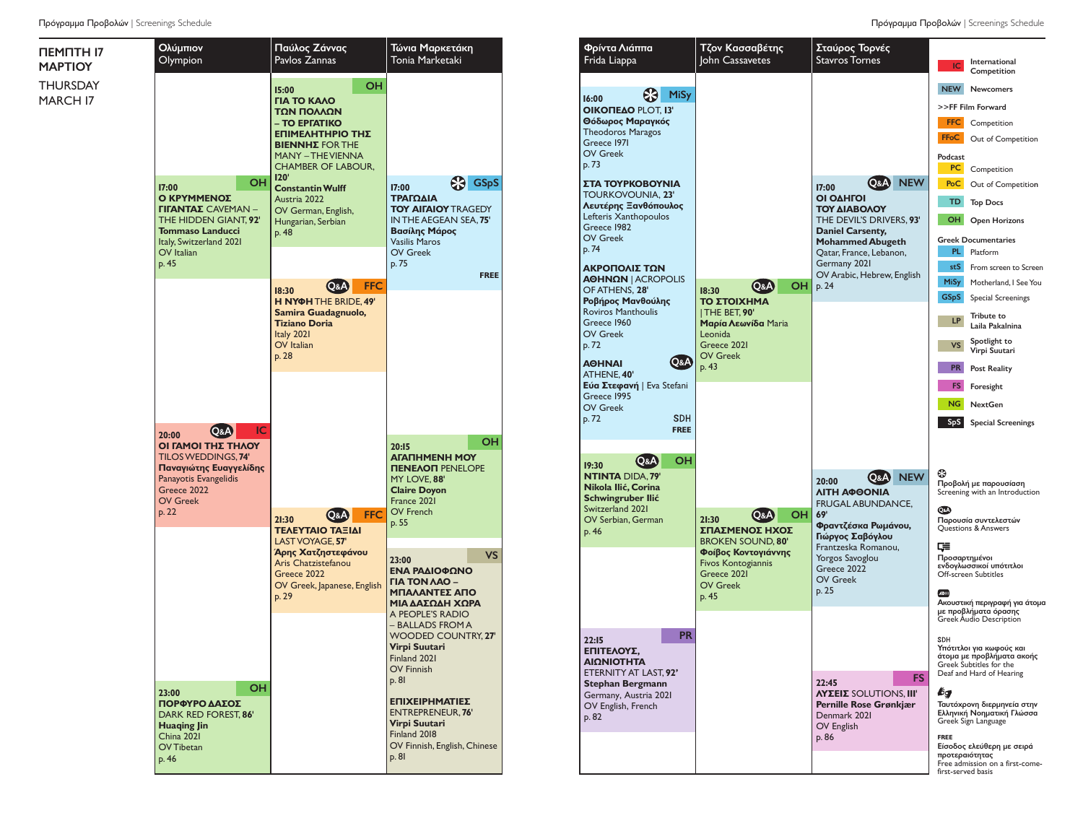| ПЕМПТН 17<br><b>MAPTIOY</b> | Ολύμπιον<br>Olympion                                                                                                                                                 | Παύλος Ζάννας<br>Pavlos Zannas                                                                                                                                                                                                                                                          | Τώνια Μαρκετάκη<br>Tonia Marketaki                                                                                                                                                                                     |
|-----------------------------|----------------------------------------------------------------------------------------------------------------------------------------------------------------------|-----------------------------------------------------------------------------------------------------------------------------------------------------------------------------------------------------------------------------------------------------------------------------------------|------------------------------------------------------------------------------------------------------------------------------------------------------------------------------------------------------------------------|
| THURSDAY<br>MARCH 17        | <b>OH</b><br>17:00<br>Ο ΚΡΥΜΜΕΝΟΣ<br><b>ΓΙΓΑΝΤΑΣ</b> CAVEMAN -<br>THE HIDDEN GIANT. 92'<br><b>Tommaso Landucci</b><br>Italy, Switzerland 2021<br>OV Italian<br>p. 45 | OH<br>15:00<br><b><i>FIA TO KAAO</i></b><br>ΤΩΝ ΠΟΛΛΩΝ<br>- TO EPIATIKO<br>ΕΠΙΜΕΛΗΤΗΡΙΟ ΤΗΣ<br><b>BIENNHE FOR THE</b><br><b>MANY - THE VIENNA</b><br><b>CHAMBER OF LABOUR,</b><br>120'<br><b>Constantin Wulff</b><br>Austria 2022<br>OV German, English,<br>Hungarian, Serbian<br>p. 48 | <b>es</b> GS <sub>p</sub> S<br>17:00<br>ΤΡΑΓΩΔΙΑ<br><b>TOY AIFAIOY TRAGEDY</b><br>IN THE AEGEAN SEA, 75'<br>Βασίλης Μάρος<br><b>Vasilis Maros</b><br><b>OV Greek</b><br>p.75<br><b>FREE</b>                            |
|                             |                                                                                                                                                                      | <b>FFC</b><br>Q&A<br>18:30<br>H NYOH THE BRIDE, 49'<br>Samira Guadagnuolo,<br><b>Tiziano Doria</b><br>Italy 2021<br>OV Italian<br>p. 28                                                                                                                                                 |                                                                                                                                                                                                                        |
|                             | IC<br>Q&A)<br>20:00<br>ΟΙ ΓΑΜΟΙ ΤΗΣ ΤΗΛΟΥ<br>TILOS WEDDINGS, 74'<br>Παναγιώτης Ευαγγελίδης<br>Panayotis Evangelidis<br>Greece 2022<br><b>OV Greek</b><br>p. 22       | FFC.<br>Q&A<br>21:30<br>ΤΕΛΕΥΤΑΙΟ ΤΑΞΙΔΙ<br>LAST VOYAGE, 57'                                                                                                                                                                                                                            | OH<br>20:15<br><b>AFATHMENH MOY</b><br><b><i>TIENEAON PENELOPE</i></b><br>MY LOVE, 88'<br><b>Claire Doyon</b><br>France 2021<br>OV French<br>p. 55                                                                     |
|                             |                                                                                                                                                                      | Άρης Χατζηστεφάνου<br>Aris Chatzistefanou<br>Greece 2022<br>OV Greek, Japanese, English<br>p. 29                                                                                                                                                                                        | <b>VS</b><br>23:00<br>ΕΝΑ ΡΑΔΙΟΦΩΝΟ<br><b>FIA TON AAO -</b><br>ΜΠΑΛΑΝΤΕΣ ΑΠΟ<br>ΜΙΑ ΔΑΣΩΔΗ ΧΩΡΑ<br>A PEOPLE'S RADIO<br>- BALLADS FROM A<br>WOODED COUNTRY, 27'<br>Virpi Suutari<br>Finland 2021<br>OV Finnish<br>p. 81 |
|                             | OН<br>23:00<br>ΠΟΡΦΥΡΟ ΔΑΣΟΣ<br>DARK RED FOREST, 86'<br><b>Huaqing Jin</b><br>China 2021<br>OV Tibetan<br>p. 46                                                      |                                                                                                                                                                                                                                                                                         | ΕΠΙΧΕΙΡΗΜΑΤΙΕΣ<br><b>ENTREPRENEUR. 76'</b><br>Virpi Suutari<br>Finland 2018<br>OV Finnish, English, Chinese<br>p. 81                                                                                                   |

| Φρίντα Λιάππα<br>Frida Liappa                                                                                                                             | Τζον Κασσαβέτης<br>John Cassavetes                                                                                                                                      | Σταύρος Τορνές<br><b>Stavros Tornes</b>                                                                                                                                                                        | International<br>IC                                                                                                                                                                                                                                                                                                                       |
|-----------------------------------------------------------------------------------------------------------------------------------------------------------|-------------------------------------------------------------------------------------------------------------------------------------------------------------------------|----------------------------------------------------------------------------------------------------------------------------------------------------------------------------------------------------------------|-------------------------------------------------------------------------------------------------------------------------------------------------------------------------------------------------------------------------------------------------------------------------------------------------------------------------------------------|
| MiSy<br>16:00<br><b>OIKOΠEΔΟ PLOT. 13'</b>                                                                                                                |                                                                                                                                                                         |                                                                                                                                                                                                                | Competition<br><b>NEW</b><br><b>Newcomers</b><br>>>FF Film Forward                                                                                                                                                                                                                                                                        |
| Θόδωρος Μαραγκός                                                                                                                                          |                                                                                                                                                                         |                                                                                                                                                                                                                | <b>FFC</b><br>Competition                                                                                                                                                                                                                                                                                                                 |
| <b>Theodoros Maragos</b><br>Greece 1971                                                                                                                   |                                                                                                                                                                         |                                                                                                                                                                                                                | <b>FFoC</b><br>Out of Competition                                                                                                                                                                                                                                                                                                         |
| <b>OV Greek</b><br>p. 73                                                                                                                                  |                                                                                                                                                                         |                                                                                                                                                                                                                | Podcast<br>PC<br>Competition                                                                                                                                                                                                                                                                                                              |
| ΣΤΑ ΤΟΥΡΚΟΒΟΥΝΙΑ                                                                                                                                          |                                                                                                                                                                         | <b>NEW</b><br><b>Q&amp;A</b><br>17:00                                                                                                                                                                          | PoC<br>Out of Competition                                                                                                                                                                                                                                                                                                                 |
| TOURKOVOUNIA, 23'<br>Λευτέρης Ξανθόπουλος                                                                                                                 |                                                                                                                                                                         | ΟΙ ΟΔΗΓΟΙ                                                                                                                                                                                                      | <b>TD</b><br><b>Top Docs</b>                                                                                                                                                                                                                                                                                                              |
| Lefteris Xanthopoulos<br>Greece 1982                                                                                                                      |                                                                                                                                                                         | ΤΟΥ ΔΙΑΒΟΛΟΥ<br>THE DEVIL'S DRIVERS, 93'<br><b>Daniel Carsenty,</b>                                                                                                                                            | OH<br><b>Open Horizons</b>                                                                                                                                                                                                                                                                                                                |
| <b>OV Greek</b><br>p. 74                                                                                                                                  |                                                                                                                                                                         | <b>Mohammed Abugeth</b>                                                                                                                                                                                        | <b>Greek Documentaries</b>                                                                                                                                                                                                                                                                                                                |
|                                                                                                                                                           |                                                                                                                                                                         | Qatar, France, Lebanon,<br>Germany 2021                                                                                                                                                                        | PL.<br>Platform                                                                                                                                                                                                                                                                                                                           |
| ΑΚΡΟΠΟΛΙΣ ΤΩΝ<br><b>ΑΘΗΝΩΝ   ACROPOLIS</b>                                                                                                                |                                                                                                                                                                         | OV Arabic, Hebrew, English                                                                                                                                                                                     | stS<br>From screen to Screen                                                                                                                                                                                                                                                                                                              |
| OF ATHENS, 28'                                                                                                                                            | <b>OH</b><br>Q&A)<br>18:30                                                                                                                                              | p. 24                                                                                                                                                                                                          | <b>MiSy</b><br>Motherland, I See You                                                                                                                                                                                                                                                                                                      |
| Ροβήρος Μανθούλης<br><b>Roviros Manthoulis</b>                                                                                                            | ΤΟ ΣΤΟΙΧΗΜΑ<br><b>THE BET, 90'</b>                                                                                                                                      |                                                                                                                                                                                                                | <b>GSpS</b><br>Special Screenings<br><b>Tribute to</b>                                                                                                                                                                                                                                                                                    |
| Greece 1960<br><b>OV Greek</b>                                                                                                                            | <b>Mapía Λεωνίδα</b> Maria<br>Leonida                                                                                                                                   |                                                                                                                                                                                                                | <b>LP</b><br>Laila Pakalnina<br>Spotlight to                                                                                                                                                                                                                                                                                              |
| p.72<br>Q&A<br><b>AOHNAI</b>                                                                                                                              | Greece 2021<br><b>OV Greek</b>                                                                                                                                          |                                                                                                                                                                                                                | <b>VS</b><br>Virpi Suutari                                                                                                                                                                                                                                                                                                                |
| ATHENE, 40'                                                                                                                                               | p. 43                                                                                                                                                                   |                                                                                                                                                                                                                | <b>PR</b><br><b>Post Reality</b>                                                                                                                                                                                                                                                                                                          |
| Eύα Στεφανή   Eva Stefani<br>Greece 1995                                                                                                                  |                                                                                                                                                                         |                                                                                                                                                                                                                | FS.<br>Foresight                                                                                                                                                                                                                                                                                                                          |
| <b>OV Greek</b>                                                                                                                                           |                                                                                                                                                                         |                                                                                                                                                                                                                | <b>NG</b><br><b>NextGen</b>                                                                                                                                                                                                                                                                                                               |
| <b>SDH</b><br>p.72<br><b>FREE</b>                                                                                                                         |                                                                                                                                                                         |                                                                                                                                                                                                                | S <sub>p</sub> S<br><b>Special Screenings</b>                                                                                                                                                                                                                                                                                             |
| OН<br>Q&A<br>19:30<br><b>NTINTA DIDA, 79'</b><br>Nikola Ilić, Corina<br>Schwingruber Ilić<br>Switzerland 2021<br>OV Serbian, German<br>p. 46<br><b>PR</b> | <b>OH</b><br>Q&A)<br>21:30<br>ΣΠΑΣΜΕΝΟΣ ΗΧΟΣ<br><b>BROKEN SOUND, 80'</b><br>Φοίβος Κοντογιάννης<br><b>Fivos Kontogiannis</b><br>Greece 2021<br><b>OV Greek</b><br>p. 45 | <b>NEW</b><br>Q&A)<br>20:00<br>ΛΙΤΗ ΑΦΘΟΝΙΑ<br>FRUGAL ABUNDANCE,<br>69'<br>Φραντζέσκα Ρωμάνου,<br>Γιώργος Σαβόγλου<br>Frantzeska Romanou,<br><b>Yorgos Savoglou</b><br>Greece 2022<br><b>OV Greek</b><br>p. 25 | ⊕<br>Προβολή με παρουσίαση<br>Screening with an Introduction<br>QsA<br>Παρουσία συντελεστών<br>Questions & Answers<br>⋤<br>Προσαρτημένοι<br>ενδογλωσσικοί υπότιτλοι<br>Off-screen Subtitles<br>ADIII<br>Ακουστική περιγραφή για άτομα<br>με προβλήματα όρασης<br><b>Greek Audio Description</b>                                           |
| 22:15<br>ΕΠΙΤΕΛΟΥΣ.<br>ΑΙΩΝΙΟΤΗΤΑ<br>ETERNITY AT LAST, 92'<br>Stephan Bergmann<br>Germany, Austria 2021<br>OV English, French<br>p. 82                    |                                                                                                                                                                         | FS<br>22:45<br><b><i>NYEEIE</i></b> SOLUTIONS, III'<br>Pernille Rose Grønkjær<br>Denmark 2021<br>OV English<br>p. 86                                                                                           | <b>SDH</b><br>Υπότιτλοι για κωφούς και<br>άτομα με προβλήματα ακοής<br>Greek Subtitles for the<br>Deaf and Hard of Hearing<br>bg<br>Ταυτόχρονη διερμηνεία στην<br>Ελληνική Νοηματική Γλώσσα<br>Greek Sign Language<br><b>FREE</b><br>Είσοδος ελεύθερη με σειρά<br>προτεραιότητας<br>Free admission on a first-come-<br>first-served basis |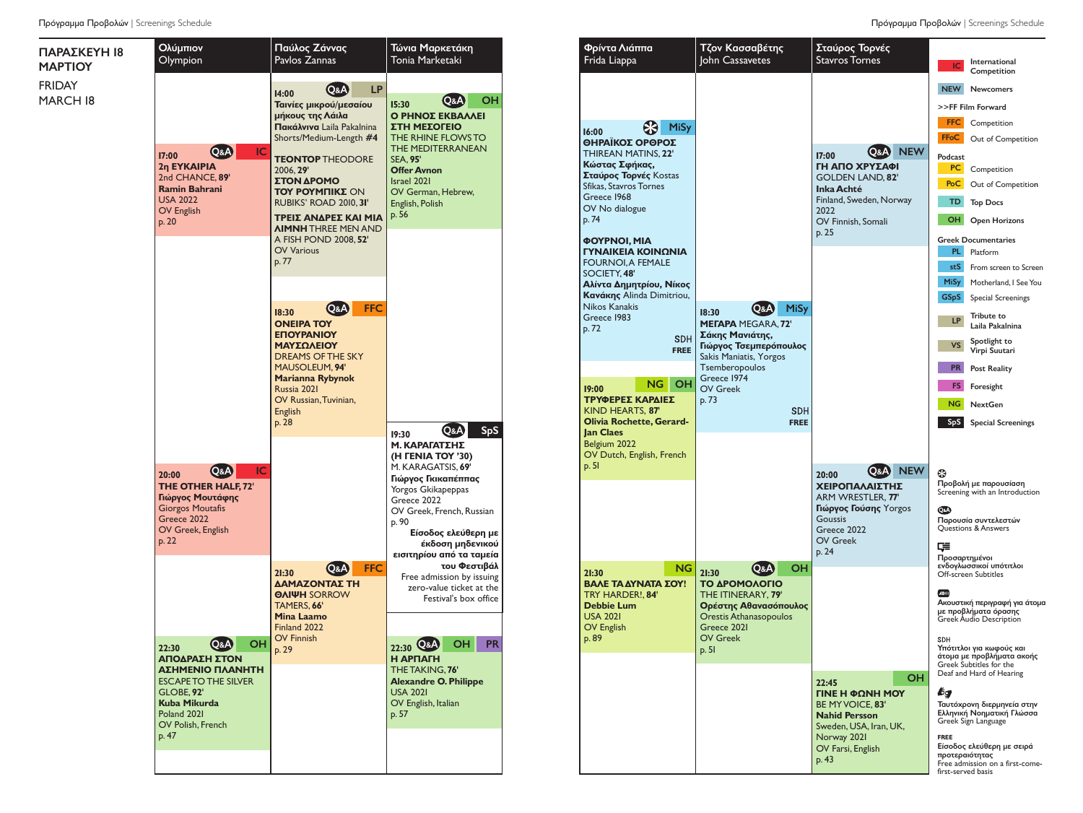

| Φρίντα Λιάππα<br>Frida Liappa                   | Τζον Κασσαβέτης<br>John Cassavetes                                  | Σταύρος Τορνές<br><b>Stavros Tornes</b>      | International<br>IC                                                                     |
|-------------------------------------------------|---------------------------------------------------------------------|----------------------------------------------|-----------------------------------------------------------------------------------------|
|                                                 |                                                                     |                                              | Competition<br><b>NEW</b><br><b>Newcomers</b>                                           |
|                                                 |                                                                     |                                              | >>FF Film Forward                                                                       |
|                                                 |                                                                     |                                              | <b>FFC</b><br>Competition                                                               |
| MiSy<br>16:00<br>ΘΗΡΑΪΚΟΣ ΟΡΘΡΟΣ                |                                                                     |                                              | <b>FFoC</b><br>Out of Competition                                                       |
| THIREAN MATINS, 22'                             |                                                                     | <b>NEW</b><br><b>Q&amp;A</b><br>17:00        | Podcast                                                                                 |
| Κώστας Σφήκας,                                  |                                                                     | ΓΗ ΑΠΟ ΧΡΥΣΑΦΙ                               | PC.<br>Competition                                                                      |
| Σταύρος Τορνές Kostas<br>Sfikas, Stavros Tornes |                                                                     | <b>GOLDEN LAND, 82'</b><br><b>Inka Achté</b> | PoC<br>Out of Competition                                                               |
| Greece 1968<br>OV No dialogue                   |                                                                     | Finland, Sweden, Norway<br>2022              | TD<br><b>Top Docs</b>                                                                   |
| p. 74                                           |                                                                     | OV Finnish, Somali<br>p. 25                  | OH<br><b>Open Horizons</b>                                                              |
| <b>ΦΟΥΡΝΟΙ, ΜΙΑ</b><br>ΓΥΝΑΙΚΕΙΑ ΚΟΙΝΩΝΙΑ       |                                                                     |                                              | <b>Greek Documentaries</b><br>PL.<br>Platform                                           |
| <b>FOURNOI, A FEMALE</b><br>SOCIETY, 48'        |                                                                     |                                              | stS<br>From screen to Screen                                                            |
| Αλίντα Δημητρίου, Νίκος                         |                                                                     |                                              | <b>MiSy</b><br>Motherland, I See You                                                    |
| Κανάκης Alinda Dimitriou,<br>Nikos Kanakis      |                                                                     |                                              | <b>GSpS</b><br><b>Special Screenings</b>                                                |
| Greece 1983<br>p. 72                            | MiSy<br>Q&A<br>18:30<br><b>MEFAPA MEGARA, 72'</b>                   |                                              | Tribute to<br><b>LP</b><br>Laila Pakalnina                                              |
| <b>SDH</b><br><b>FREE</b>                       | Σάκης Μανιάτης,<br>Γιώργος Τσεμπερόπουλος<br>Sakis Maniatis, Yorgos |                                              | Spotlight to<br>VS<br>Virpi Suutari                                                     |
|                                                 | Tsemberopoulos<br>Greece 1974                                       |                                              | <b>PR</b><br><b>Post Reality</b>                                                        |
| NG<br>он<br>19:00<br>ΤΡΥΦΕΡΕΣ ΚΑΡΔΙΕΣ           | OV Greek                                                            |                                              | <b>FS</b><br>Foresight                                                                  |
| KIND HEARTS, 87'                                | p.73<br><b>SDH</b>                                                  |                                              | NG.<br><b>NextGen</b>                                                                   |
| <b>Olivia Rochette, Gerard-</b>                 | <b>FREE</b>                                                         |                                              | SpS<br><b>Special Screenings</b>                                                        |
| <b>Jan Claes</b><br>Belgium 2022                |                                                                     |                                              |                                                                                         |
| OV Dutch, English, French<br>p.5l               |                                                                     |                                              |                                                                                         |
|                                                 |                                                                     | <b>NEW</b><br>$(Q\&A)$<br>20:00              | ⊕<br>Προβολή με παρουσίαση                                                              |
|                                                 |                                                                     | ΧΕΙΡΟΠΑΛΑΙΣΤΗΣ<br>ARM WRESTLER, 77'          | Screening with an Introduction                                                          |
|                                                 |                                                                     | Γιώργος Γούσης Yorgos                        | QsA                                                                                     |
|                                                 |                                                                     | <b>Goussis</b><br>Greece 2022                | Παρουσία συντελεστών<br>Questions & Answers                                             |
|                                                 |                                                                     | <b>OV Greek</b><br>p. 24                     | 두                                                                                       |
| NG.                                             | <b>OH</b><br>Q&A)                                                   |                                              | Προσαρτημένοι<br>ενδογλωσσικοί υπότιτλοι                                                |
| 21:30<br>ΒΑΛΕ ΤΑ ΔΥΝΑΤΑ ΣΟΥ!                    | 21:30<br>ΤΟ ΔΡΟΜΟΛΟΓΙΟ                                              |                                              | Off-screen Subtitles                                                                    |
| TRY HARDER!, 84'                                | THE ITINERARY, 79'                                                  |                                              | AD))                                                                                    |
| <b>Debbie Lum</b><br><b>USA 2021</b>            | Ορέστης Αθανασόπουλος<br>Orestis Athanasopoulos                     |                                              | Ακουστική περιγραφή για άτομα<br>με προβλήματα όρασης<br><b>Greek Audio Description</b> |
| OV English                                      | Greece 2021                                                         |                                              |                                                                                         |
| p. 89                                           | <b>OV Greek</b><br>p.5l                                             |                                              | SDH<br>Υπότιτλοι για κωφούς και                                                         |
|                                                 |                                                                     |                                              | άτομα με προβλήματα ακοής<br>Greek Subtitles for the<br>Deaf and Hard of Hearing        |
|                                                 |                                                                     | OН<br>22:45                                  |                                                                                         |
|                                                 |                                                                     | ΓΙΝΕ Η ΦΩΝΗ ΜΟΥ<br>BE MY VOICE, 83'          | Бg<br>Ταυτόχρονη διερμηνεία στην                                                        |
|                                                 |                                                                     | <b>Nahid Persson</b>                         | Ελληνική Νοηματική Γλώσσα<br>Greek Sign Language                                        |
|                                                 |                                                                     | Sweden, USA, Iran, UK,<br>Norway 2021        | <b>FREE</b>                                                                             |
|                                                 |                                                                     | OV Farsi, English<br>p. 43                   | Είσοδος ελεύθερη με σειρά<br>προτεραιότητας                                             |
|                                                 |                                                                     |                                              | Free admission on a first-come-<br>first-served basis                                   |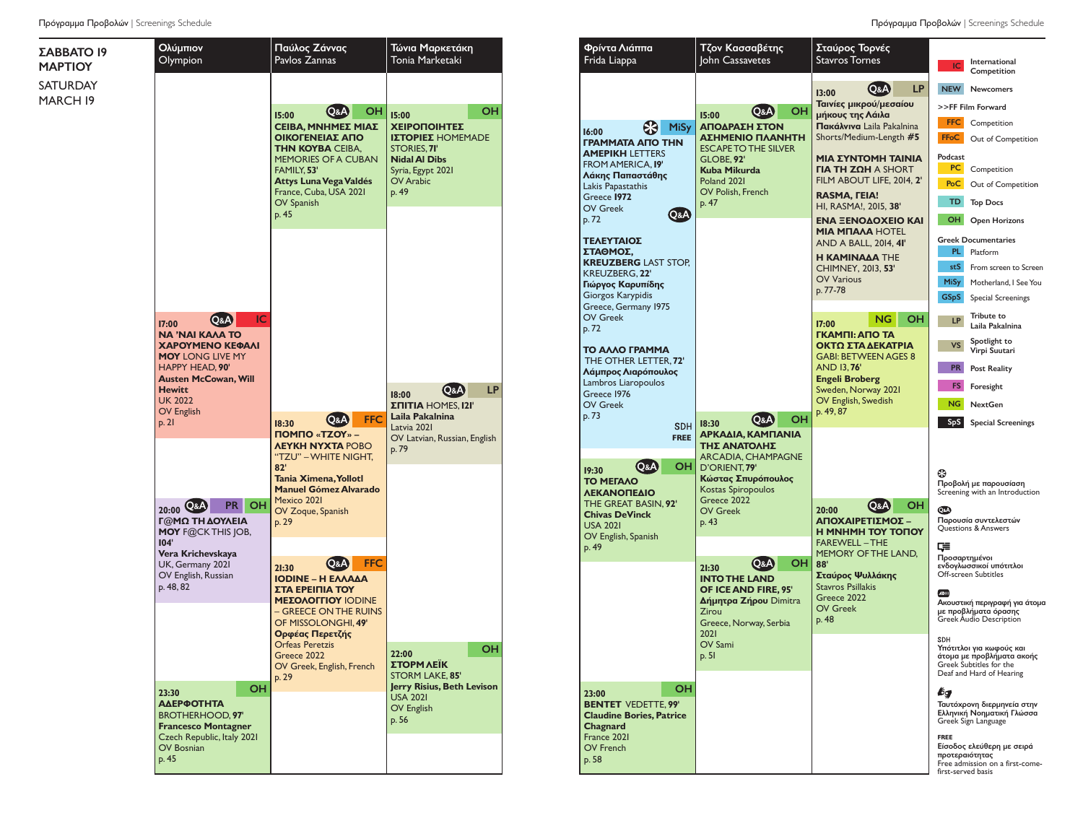Ολύμπιον Olympion Παύλος Ζάννας Pavlos Zannas Τώνια Μαρκετάκη Tonia Marketaki ΣΑΒΒΑΤΟ 19 ΜΑΡΤΙΟΥ SATURDAY MARCH 19 **17:00**  Q&A IC **ΝΑ 'ΝΑΙ ΚΑΛΆ ΤΟ ΧΑΡΟΎΜΕΝΟ ΚΕΦΆΛΙ ΜΟΥ** LONG LIVE MY HAPPY HEAD, **90' Austen McCowan, Will Hewitt** UK 2022 OV English  $p. 21$ **15:00**  Q&A OH **CEIBA, ΜΝΗΜΕΣ ΜΙΑΣ ΟΙΚΟΓΕΝΕΙΑΣ ΑΠΟ ΤΗΝ ΚΟΥΒΑ** CEIBA, MEMORIES OF A CUBAN FAMILY, **53' Attys LunaVegaValdés** France, Cuba, USA 2021 OV Spanish  $p. 45$ **23:30** OH **ΑΔΕΡΦΌΤΗΤΑ** BROTHERHOOD, **97' Francesco Montagner** Czech Republic, Italy 2021 OV Bosnian p. 45 **20:00** Q&A PR OH **Γ@ΜΏ ΤΗ ΔΟΥΛΕΙΆ ΜΟΥ** F@CKTHIS JOB, **104' Vera Krichevskaya**  $|$  UK, Germany 2021 OV English, Russian  $|p. 48, 82|$ **18:30**  Q&A FFC **ΠΌΜΠΟ «ΤΖΟΥ» – ΛΕΥΚΉ ΝΎΧΤΑ** POBO "TZU" –WHITE NIGHT, **82' Tania Ximena,Yollotl Manuel Gómez Alvarado** Mexico 2021 OV Zoque, Spanish p. 29 **18:00**  Q&A LP **ΣΠΊΤΙΑ** HOMES, **121' Laila Pakalnina** Latvia 2021 OV Latvian, Russian, English p. 79 **21:30**  Q&A FFC **IODINE – Η ΕΛΛΆΔΑ ΣΤΑ ΕΡΕΊΠΙΑ ΤΟΥ ΜΕΣΟΛΟΓΓΊΟΥ** IODINE – GREECE ONTHE RUINS OF MISSOLONGHI, **49' Ορφέας Περετζής** Orfeas Peretzis Greece 2022 OV Greek, English, French p. 29 **15:00**  OH **ΧΕΙΡΟΠΟΊΗΤΕΣ ΙΣΤΟΡΊΕΣ** HOMEMADE STORIES, **71' Nidal Al Dibs** Syria, Egypt 2021 OV Arabic p. 49 **ΣΤΟΡΜ ΛΈΙΚ** STORM LAKE, **85' Jerry Risius, Beth Levison** USA 2021 OV English  $p.56$ 

Πρόγραμμα Προβολών | Screenings Schedule **Πρόγραμμα Προβολών | Screenings Schedule** Πρόγραμμα Προβολών | Screenings Schedule

| Τώνια Μαρκετάκη<br>Tonia Marketaki                                                                                                                        | Φρίντα Λιάππα<br>Frida Liappa                                                                                                                                                                                             | Τζον Κασσαβέτης<br>John Cassavetes                                                                                                                                                                       | Σταύρος Τορνές<br><b>Stavros Tornes</b>                                                                                                                                                                                             | International<br>IC<br>Competition                                                                                                                                                                                                                                                                                                                                                                               |
|-----------------------------------------------------------------------------------------------------------------------------------------------------------|---------------------------------------------------------------------------------------------------------------------------------------------------------------------------------------------------------------------------|----------------------------------------------------------------------------------------------------------------------------------------------------------------------------------------------------------|-------------------------------------------------------------------------------------------------------------------------------------------------------------------------------------------------------------------------------------|------------------------------------------------------------------------------------------------------------------------------------------------------------------------------------------------------------------------------------------------------------------------------------------------------------------------------------------------------------------------------------------------------------------|
| OH<br>I5:00<br><b>ΧΕΙΡΟΠΟΙΗΤΕΣ</b><br>Ι <b>ΣΤΟΡΙΕΣ</b> ΗΟΜΕΜΑDΕ<br>STORIES, <b>71'</b><br><b>Nidal Al Dibs</b><br>Syria, Egypt 2021<br>OV Arabic<br>p. 49 | 8<br><b>MiSy</b><br>16:00<br><b><i>FPAMMATA AITO THN</i></b><br><b>AMEPIKH LETTERS</b><br><b>FROM AMERICA, 19'</b><br>Λάκης Παπαστάθης<br>Lakis Papastathis<br>Greece 1972                                                | ΟН<br>Q&A)<br>15:00<br>ΑΠΟΔΡΑΣΗ ΣΤΟΝ<br>ΑΣΗΜΕΝΙΟ ΠΛΑΝΗΤΗ<br><b>ESCAPE TO THE SILVER</b><br><b>GLOBE, 92'</b><br>Kuba Mikurda<br>Poland 2021<br>OV Polish, French                                         | Q&A<br><b>LP</b><br>13:00<br>Ταινίες μικρού/μεσαίου<br>μήκους της Λάιλα<br>Πακάλνινα Laila Pakalnina<br>Shorts/Medium-Length #5<br>ΜΙΑ ΣΥΝΤΟΜΗ ΤΑΙΝΙΑ<br>$\Gamma$ IA TH ZQH A SHORT<br>FILM ABOUT LIFE, 2014, 2'<br>RASMA, FEIA!    | <b>NEW</b><br><b>Newcomers</b><br>>>FF Film Forward<br><b>FFC</b><br>Competition<br><b>FFoC</b><br>Out of Competition<br>Podcast<br>PC<br>Competition<br>PoC<br>Out of Competition                                                                                                                                                                                                                               |
|                                                                                                                                                           | <b>OV Greek</b><br><b>Q&amp;A</b><br>p.72<br>ΤΕΛΕΥΤΑΙΟΣ<br>ΣΤΑΘΜΟΣ,<br><b>KREUZBERG LAST STOP,</b><br><b>KREUZBERG, 22'</b><br>Γιώργος Καρυπίδης<br>Giorgos Karypidis<br>Greece, Germany 1975<br><b>OV Greek</b><br>p. 72 | p. 47                                                                                                                                                                                                    | HI, RASMA!, 2015, 38'<br>ΕΝΑ ΞΕΝΟΔΟΧΕΙΟ ΚΑΙ<br><b>MIA MNAAA HOTEL</b><br>AND A BALL, 2014, 41'<br><b>H KAMINAAA THE</b><br><b>CHIMNEY, 2013, 53'</b><br><b>OV Various</b><br>p. 77-78<br><b>NG</b><br>OН<br>17:00<br>ΓΚΑΜΠΙ: ΑΠΟ ΤΑ | TD<br><b>Top Docs</b><br>OH<br><b>Open Horizons</b><br><b>Greek Documentaries</b><br>PL.<br>Platform<br>stS<br>From screen to Screen<br><b>MiSy</b><br>Motherland, I See You<br><b>GSpS</b><br><b>Special Screenings</b><br>Tribute to<br><b>LP</b><br>Laila Pakalnina                                                                                                                                           |
| <b>LP</b><br>Q&A<br>18:00<br><b>ΣΠΙΤΙΑ</b> HOMES, 121'<br>Laila Pakalnina<br>Latvia 2021<br>OV Latvian, Russian, English<br>p. 79                         | ΤΟ ΑΛΛΟ ΓΡΑΜΜΑ<br>THE OTHER LETTER, 72'<br>Λάμπρος Λιαρόπουλος<br>Lambros Liaropoulos<br>Greece 1976<br><b>OV Greek</b><br>p. 73<br><b>SDH</b><br><b>FREE</b>                                                             | он<br>Q&A<br>18:30<br>ΑΡΚΑΔΙΑ, ΚΑΜΠΑΝΙΑ<br>ΤΗΣ ΑΝΑΤΟΛΗΣ                                                                                                                                                  | ΟΚΤΩ ΣΤΑ ΔΕΚΑΤΡΙΑ<br><b>GABI: BETWEEN AGES 8</b><br><b>AND 13,76'</b><br><b>Engeli Broberg</b><br>Sweden, Norway 2021<br>OV English, Swedish<br>p. 49, 87                                                                           | Spotlight to<br><b>VS</b><br>Virpi Suutari<br><b>PR</b><br><b>Post Reality</b><br>FS.<br>Foresight<br><b>NG</b><br><b>NextGen</b><br><b>SpS</b><br><b>Special Screenings</b>                                                                                                                                                                                                                                     |
|                                                                                                                                                           | <b>Q&amp;A</b><br>OH<br>19:30<br><b>TO METAAO</b><br><b>ΛΕΚΑΝΟΠΕΔΙΟ</b><br>THE GREAT BASIN, 92'<br><b>Chivas DeVinck</b><br><b>USA 2021</b><br>OV English, Spanish<br>p. 49                                               | <b>ARCADIA, CHAMPAGNE</b><br>D'ORIENT, 79'<br>Κώστας Σπυρόπουλος<br>Kostas Spiropoulos<br>Greece 2022<br><b>OV Greek</b><br>p. 43<br>Q&A)<br>он<br>21:30<br><b>INTO THE LAND</b><br>OF ICE AND FIRE. 95' | он<br>Q&A<br>20:00<br>ΑΠΟΧΑΙΡΕΤΙΣΜΟΣ –<br><b>H MNHMH TOY TONOY</b><br><b>FAREWELL-THE</b><br>MEMORY OF THE LAND,<br>88'<br>Σταύρος Ψυλλάκης<br><b>Stavros Psillakis</b>                                                             | ⊕<br>Προβολή με παρουσίαση<br>Screening with an Introduction<br>QsA<br>Παρουσία συντελεστών<br>Questions & Answers<br>⋤<br>Προσαρτημένοι<br>ενδογλωσσικοί υπότιτλοι<br>Off-screen Subtitles                                                                                                                                                                                                                      |
| OH<br>22:00<br>ΣΤΟΡΜ ΛΕΙΚ<br><b>STORM LAKE, 85'</b><br>Jerry Risius, Beth Levison<br><b>USA 2021</b><br><b>OV English</b><br>p. 56                        | OH<br>23:00<br><b>BENTET VEDETTE, 99'</b><br><b>Claudine Bories, Patrice</b><br>Chagnard<br>France 2021<br><b>OV French</b><br>p. 58                                                                                      | Δήμητρα Ζήρου Dimitra<br>Zirou<br>Greece, Norway, Serbia<br>2021<br>OV Sami<br>p. 51                                                                                                                     | Greece 2022<br><b>OV Greek</b><br>p. 48                                                                                                                                                                                             | ADIII<br>Ακουστική περιγραφή για άτομα<br>με προβλήματα όρασης<br>Greek Audio Description<br><b>SDH</b><br>Υπότιτλοι για κωφούς και<br>άτομα με προβλήματα ακοής<br>Greek Subtitles for the<br>Deaf and Hard of Hearing<br>bд<br>Ταυτόχρονη διερμηνεία στην<br>Ελληνική Νοηματική Γλώσσα<br>Greek Sign Language<br><b>FREE</b><br>Είσοδος ελεύθερη με σειρά<br>προτεραιότητας<br>Free admission on a first-come- |